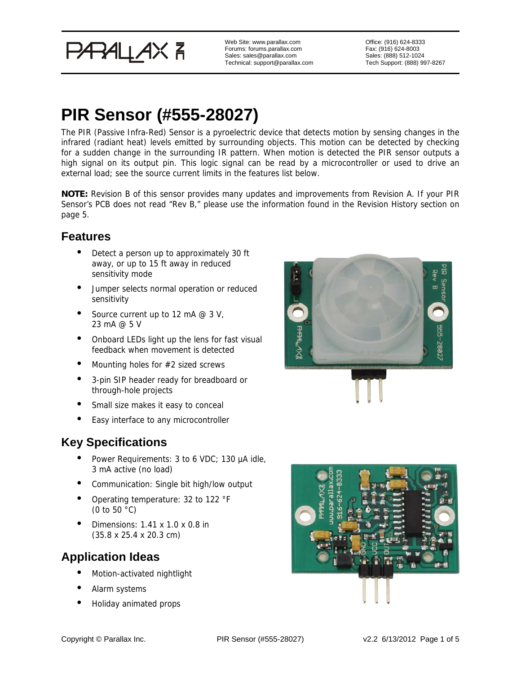PARALLAX<sup>7</sup>

Web Site: www.parallax.com Forums: forums.parallax.com Sales: sales@parallax.com Technical: support@parallax.com Office: (916) 624-8333 Fax: (916) 624-8003 Sales: (888) 512-1024 Tech Support: (888) 997-8267

# **PIR Sensor (#555-28027)**

The PIR (Passive Infra-Red) Sensor is a pyroelectric device that detects motion by sensing changes in the infrared (radiant heat) levels emitted by surrounding objects. This motion can be detected by checking for a sudden change in the surrounding IR pattern. When motion is detected the PIR sensor outputs a high signal on its output pin. This logic signal can be read by a microcontroller or used to drive an external load; see the source current limits in the features list below.

**NOTE:** Revision B of this sensor provides many updates and improvements from Revision A. If your PIR Sensor's PCB does not read "Rev B," please use the information found in the Revision History section on page 5.

## **Features**

- Detect a person up to approximately 30 ft away, or up to 15 ft away in reduced sensitivity mode
- Jumper selects normal operation or reduced sensitivity
- Source current up to 12 mA  $@$  3 V, 23 mA @ 5 V
- Onboard LEDs light up the lens for fast visual feedback when movement is detected
- Mounting holes for #2 sized screws
- 3-pin SIP header ready for breadboard or through-hole projects
- Small size makes it easy to conceal
- Easy interface to any microcontroller

## **Key Specifications**

- Power Requirements: 3 to 6 VDC; 130 µA idle, 3 mA active (no load)
- Communication: Single bit high/low output
- Operating temperature: 32 to 122 °F (0 to 50 °C)
- Dimensions: 1.41 x 1.0 x 0.8 in (35.8 x 25.4 x 20.3 cm)

## **Application Ideas**

- Motion-activated nightlight
- Alarm systems
- Holiday animated props



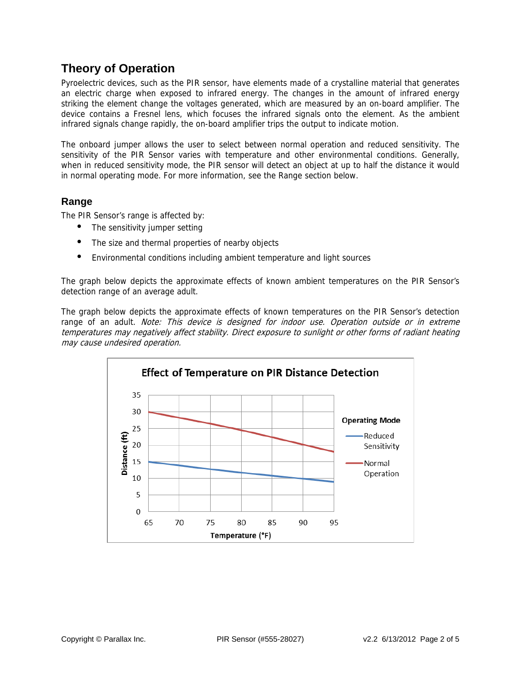## **Theory of Operation**

Pyroelectric devices, such as the PIR sensor, have elements made of a crystalline material that generates an electric charge when exposed to infrared energy. The changes in the amount of infrared energy striking the element change the voltages generated, which are measured by an on-board amplifier. The device contains a Fresnel lens, which focuses the infrared signals onto the element. As the ambient infrared signals change rapidly, the on-board amplifier trips the output to indicate motion.

The onboard jumper allows the user to select between normal operation and reduced sensitivity. The sensitivity of the PIR Sensor varies with temperature and other environmental conditions. Generally, when in reduced sensitivity mode, the PIR sensor will detect an object at up to half the distance it would in normal operating mode. For more information, see the Range section below.

### **Range**

The PIR Sensor's range is affected by:

- The sensitivity jumper setting
- The size and thermal properties of nearby objects
- Environmental conditions including ambient temperature and light sources

The graph below depicts the approximate effects of known ambient temperatures on the PIR Sensor's detection range of an average adult.

The graph below depicts the approximate effects of known temperatures on the PIR Sensor's detection range of an adult. Note: This device is designed for indoor use. Operation outside or in extreme temperatures may negatively affect stability. Direct exposure to sunlight or other forms of radiant heating may cause undesired operation.

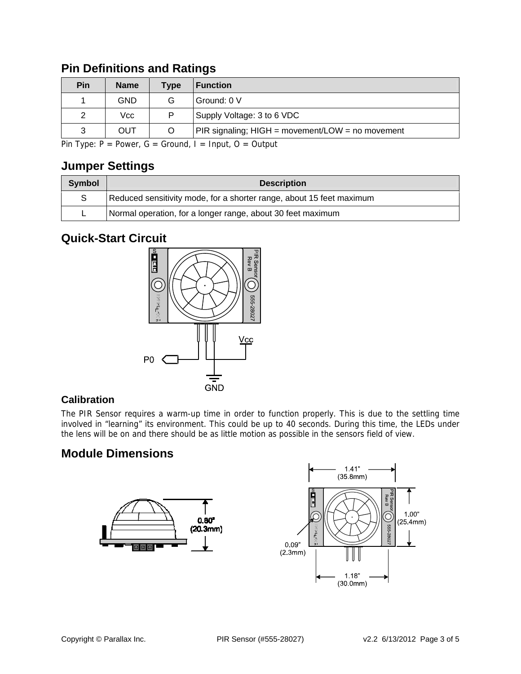| Pin | <b>Name</b> | <b>Type</b> | <b>Function</b>                                  |
|-----|-------------|-------------|--------------------------------------------------|
|     | GND         | G           | Ground: 0 V                                      |
|     | Vcc         | D           | Supply Voltage: 3 to 6 VDC                       |
| 3   | <b>OUT</b>  | O           | PIR signaling; HIGH = movement/LOW = no movement |

## **Pin Definitions and Ratings**

Pin Type:  $P = Power$ ,  $G = Ground$ ,  $I = Input$ ,  $O = Output$ 

### **Jumper Settings**

| <b>Symbol</b> | <b>Description</b>                                                   |  |  |  |
|---------------|----------------------------------------------------------------------|--|--|--|
| S             | Reduced sensitivity mode, for a shorter range, about 15 feet maximum |  |  |  |
|               | Normal operation, for a longer range, about 30 feet maximum          |  |  |  |

## **Quick-Start Circuit**



### **Calibration**

The PIR Sensor requires a warm-up time in order to function properly. This is due to the settling time involved in "learning" its environment. This could be up to 40 seconds. During this time, the LEDs under the lens will be on and there should be as little motion as possible in the sensors field of view.

## **Module Dimensions**



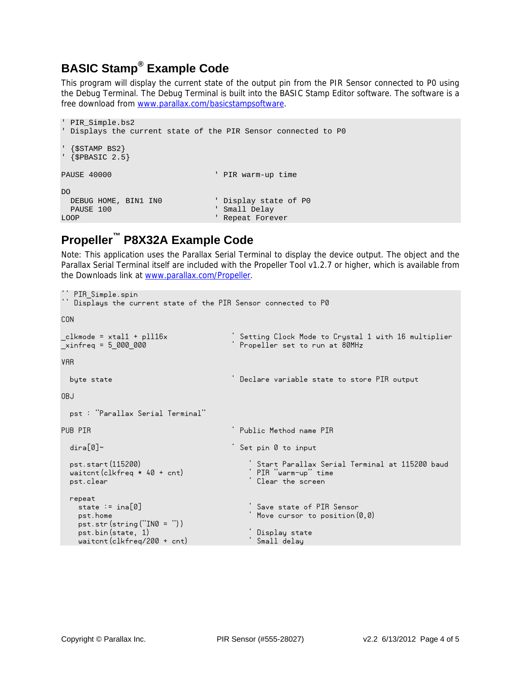## **BASIC Stamp® Example Code**

This program will display the current state of the output pin from the PIR Sensor connected to P0 using the Debug Terminal. The Debug Terminal is built into the BASIC Stamp Editor software. The software is a free download from www.parallax.com/basicstampsoftware.

```
' PIR_Simple.bs2 
' Displays the current state of the PIR Sensor connected to P0 
' {$STAMP BS2} 
\frac{1}{5} \{ $PBASIC 2.5}
PAUSE 40000 PAUSE 90000
D<sub>O</sub>DEBUG HOME, BIN1 IN0 \qquad ' Display state of P0<br>PAUSE 100 \qquad ' Small Delay
                                                         ' Small Delay
LOOP ALL CONTROL CONTROL CONTROL CONTROL CONTROL CONTROL CONTROL CONTROL CONTROL CONTROL CONTROL CONTROL CONTROL CONTROL CONTROL CONTROL CONTROL CONTROL CONTROL CONTROL CONTROL CONTROL CONTROL CONTROL CONTROL CONTROL CONTR
```
## **Propeller™ P8X32A Example Code**

Note: This application uses the Parallax Serial Terminal to display the device output. The object and the Parallax Serial Terminal itself are included with the Propeller Tool v1.2.7 or higher, which is available from the Downloads link at www.parallax.com/Propeller.

```
'' PIR_Simple.spin 
'' Displays the current state of the PIR Sensor connected to P0 
CON 
_clkmode = xtal1 + pll16x ' Setting Clock Mode to Crystal 1 with 16 multiplier 
                                  Secting Situation Contract Summer
VAR
  byte state ' Declare variable state to store PIR output 
OBJ pst : "Parallax Serial Terminal" 
PUB PIR
                                  ' Public Method name PIR
 dira[0]~ \qquad \qquad ' Set pin 0 to input
  pst.start(115200) ' Start Parallax Serial Terminal at 115200 baud 
 widthed * 40 + cntpst.clear ' Clear the screen
 r = \frac{1}{100} repeat
                                     ' Save state of PIR Sensor
   pst.home ' Index, and the state of the Move cursor to position(0,0)
   pst.str(string("IN0 = ")) 
    pst.bin(state, 1) ' Display state 
  widthed/200 + \text{cnt}
```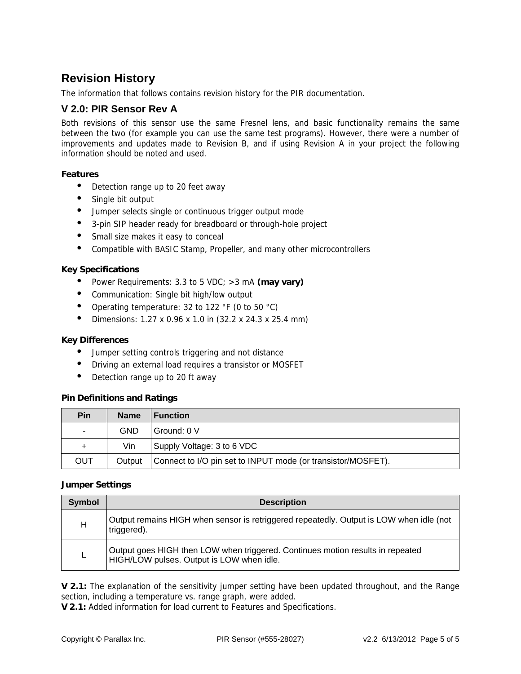## **Revision History**

The information that follows contains revision history for the PIR documentation.

### **V 2.0: PIR Sensor Rev A**

Both revisions of this sensor use the same Fresnel lens, and basic functionality remains the same between the two (for example you can use the same test programs). However, there were a number of improvements and updates made to Revision B, and if using Revision A in your project the following information should be noted and used.

### **Features**

- Detection range up to 20 feet away
- Single bit output
- Jumper selects single or continuous trigger output mode
- 3-pin SIP header ready for breadboard or through-hole project
- Small size makes it easy to conceal
- Compatible with BASIC Stamp, Propeller, and many other microcontrollers

#### **Key Specifications**

- Power Requirements: 3.3 to 5 VDC; >3 mA **(may vary)**
- Communication: Single bit high/low output
- Operating temperature: 32 to 122 °F (0 to 50 °C)
- Dimensions: 1.27 x 0.96 x 1.0 in (32.2 x 24.3 x 25.4 mm)

#### **Key Differences**

- Jumper setting controls triggering and not distance
- Driving an external load requires a transistor or MOSFET
- Detection range up to 20 ft away

#### **Pin Definitions and Ratings**

| Pin            | <b>Name</b> | <b>I</b> Function                                            |  |
|----------------|-------------|--------------------------------------------------------------|--|
| $\blacksquare$ | GND         | Ground: 0 V                                                  |  |
| +              | Vin         | Supply Voltage: 3 to 6 VDC                                   |  |
| <b>OUT</b>     | Output      | Connect to I/O pin set to INPUT mode (or transistor/MOSFET). |  |

#### **Jumper Settings**

| Symbol | <b>Description</b>                                                                                                          |  |  |  |
|--------|-----------------------------------------------------------------------------------------------------------------------------|--|--|--|
| Н      | Output remains HIGH when sensor is retriggered repeatedly. Output is LOW when idle (not<br>triggered).                      |  |  |  |
| L      | Output goes HIGH then LOW when triggered. Continues motion results in repeated<br>HIGH/LOW pulses. Output is LOW when idle. |  |  |  |

**V 2.1:** The explanation of the sensitivity jumper setting have been updated throughout, and the Range section, including a temperature vs. range graph, were added.

**V 2.1:** Added information for load current to Features and Specifications.